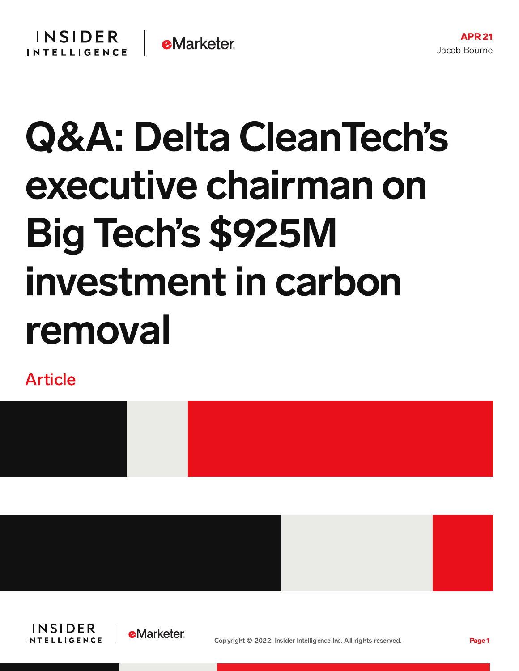# Q&A: Delta CleanTech's executive chairman on Big Tech's \$925M investment in carbon removal

Article







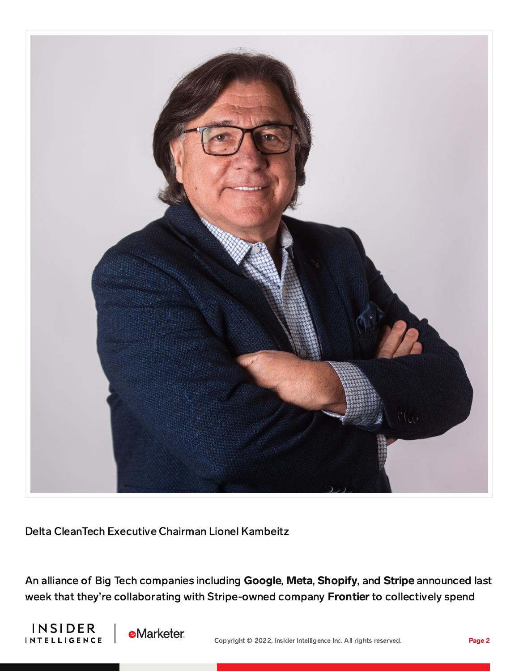

Delta CleanTech Executive Chairman Lionel Kambeitz

An alliance of Big Tech companies including Google, Meta, Shopify, and Stripe announced last week that they're collaborating with Stripe-owned company Frontier to collectively spend



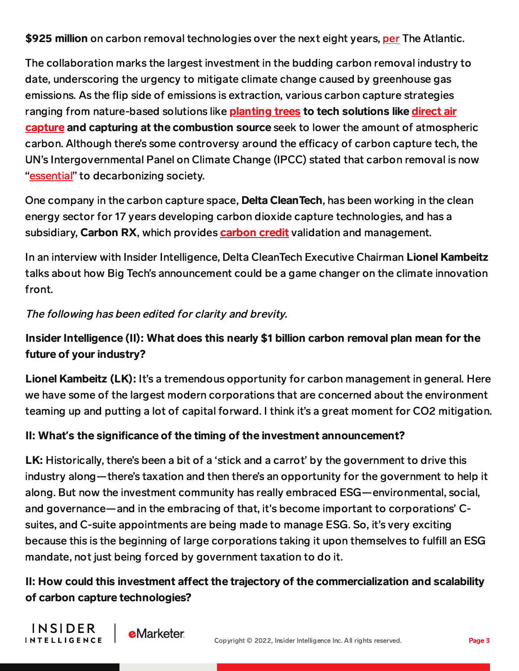\$925 million on carbon removal technologies over the next eight years, [per](https://www.theatlantic.com/science/archive/2022/04/big-tech-investment-carbon-removal/629545/) The Atlantic.

The collaboration marks the largest investment in the budding carbon removal industry to date, underscoring the urgency to mitigate climate change caused by greenhouse gas emissions. As the flip side of emissions is extraction, various carbon capture strategies ranging from [nature-based](https://content-na2.emarketer.com/aether-transforms-captured-co2-diamonds) solutions like **[planting](https://content-na2.emarketer.com/startup-living-carbon-unleashes-engineered-trees-climate-solution) trees to tech solutions like direct air** capture and capturing at the combustion source seek to lower the amount of atmospheric carbon. Although there's some controversy around the efficacy of carbon capture tech, the UN's Intergovernmental Panel on Climate Change (IPCC) stated that carbon removal is now ["essential"](https://www.technologyreview.com/2022/04/04/1048832/un-climate-report-carbon-removal-is-now-essential/) to decarbonizing society.

One company in the carbon capture space, **Delta Clean Tech**, has been working in the clean energy sector for 17 years developing carbon dioxide capture technologies, and has a subsidiary, Carbon RX, which provides **[carbon](https://content-na2.emarketer.com/technologies-drive-sustainability) credit** validation and management.

In an interview with Insider Intelligence, Delta CleanTech Executive Chairman Lionel Kambeitz talks about how Big Tech's announcement could be a game changer on the climate innovation front.

The following has been edited for clarity and brevity.

**e**Marketer

INSIDER

**INTELLIGENCE** 

## Insider Intelligence (II): What does this nearly \$1 billion carbon removal plan mean for the future of your industry?

Lionel Kambeitz (LK): It's a tremendous opportunity for carbon management in general. Here we have some of the largest modern corporations that are concerned about the environment teaming up and putting a lot of capital forward. I think it's a great moment for CO2 mitigation.

#### II: What's the significance of the timing of the investment announcement?

LK: Historically, there's been a bit of a 'stick and a carrot' by the government to drive this industry along—there's taxation and then there's an opportunity for the government to help it along. But now the investment community has really embraced ESG—environmental, social, and governance—and in the embracing of that, it's become important to corporations' Csuites, and C-suite appointments are being made to manage ESG. So, it's very exciting because this is the beginning of large corporations taking it upon themselves to fulfill an ESG mandate, not just being forced by government taxation to do it.

## II: How could this investment affect the trajectory of the commercialization and scalability of carbon capture technologies?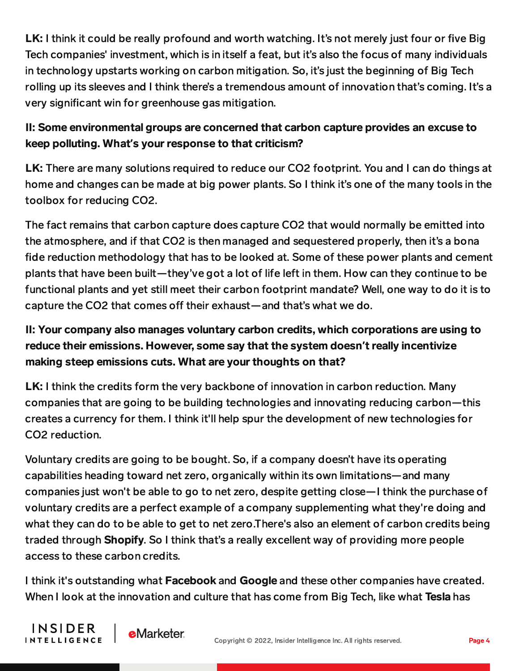LK: I think it could be really profound and worth watching. It's not merely just four or five Big Tech companies' investment, which is in itself a feat, but it's also the focus of many individuals in technology upstarts working on carbon mitigation. So, it's just the beginning of Big Tech rolling up its sleeves and I think there's a tremendous amount of innovation that's coming. It's a very significant win for greenhouse gas mitigation.

#### II: Some environmental groups are concerned that carbon capture provides an excuse to keep polluting. What**'**s your response to that criticism?

LK: There are many solutions required to reduce our CO2 footprint. You and I can do things at home and changes can be made at big power plants. So I think it's one of the many tools in the toolbox for reducing CO2.

The fact remains that carbon capture does capture CO2 that would normally be emitted into the atmosphere, and if that CO2 is then managed and sequestered properly, then it's a bona fide reduction methodology that has to be looked at. Some of these power plants and cement plants that have been built—they've got a lot of life left in them. How can they continue to be functional plants and yet still meet their carbon footprint mandate? Well, one way to do it is to capture the CO2 that comes off their exhaust—and that's what we do.

## II: Your company also manages voluntary carbon credits, which corporations are using to reduce their emissions. However, some say that the system doesn**'**t really incentivize making steep emissions cuts. What are your thoughts on that?

LK: I think the credits form the very backbone of innovation in carbon reduction. Many companies that are going to be building technologies and innovating reducing carbon—this creates a currency for them. I think it'll help spur the development of new technologies for CO2 reduction.

Voluntary credits are going to be bought. So, if a company doesn't have its operating capabilities heading toward net zero, organically within its own limitations—and many companies just won't be able to go to net zero, despite getting close—I think the purchase of voluntary credits are a perfect example of a company supplementing what they're doing and what they can do to be able to get to net zero.There's also an element of carbon credits being traded through Shopify. So I think that's a really excellent way of providing more people access to these carbon credits.

I think it's outstanding what Facebook and Google and these other companies have created. When I look at the innovation and culture that has come from Big Tech, like what Tesla has